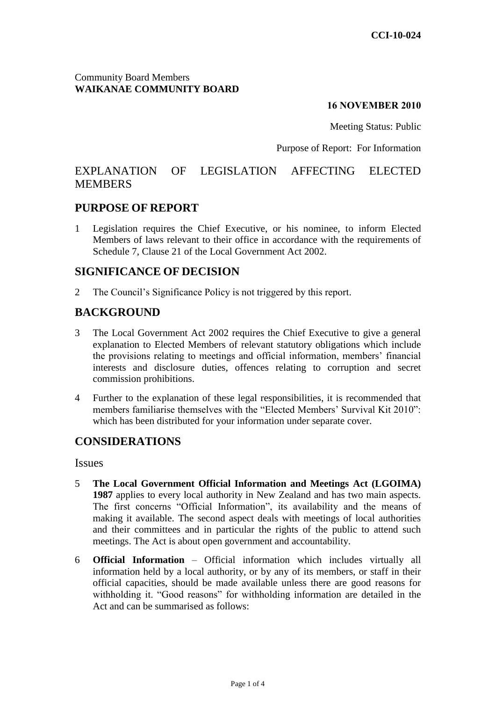#### Community Board Members **WAIKANAE COMMUNITY BOARD**

#### **16 NOVEMBER 2010**

Meeting Status: Public

#### Purpose of Report: For Information

# EXPLANATION OF LEGISLATION AFFECTING ELECTED MEMBERS

### **PURPOSE OF REPORT**

1 Legislation requires the Chief Executive, or his nominee, to inform Elected Members of laws relevant to their office in accordance with the requirements of Schedule 7, Clause 21 of the Local Government Act 2002.

### **SIGNIFICANCE OF DECISION**

2 The Council's Significance Policy is not triggered by this report.

## **BACKGROUND**

- 3 The Local Government Act 2002 requires the Chief Executive to give a general explanation to Elected Members of relevant statutory obligations which include the provisions relating to meetings and official information, members' financial interests and disclosure duties, offences relating to corruption and secret commission prohibitions.
- 4 Further to the explanation of these legal responsibilities, it is recommended that members familiarise themselves with the "Elected Members' Survival Kit 2010": which has been distributed for your information under separate cover.

### **CONSIDERATIONS**

Issues

- 5 **The Local Government Official Information and Meetings Act (LGOIMA) 1987** applies to every local authority in New Zealand and has two main aspects. The first concerns "Official Information", its availability and the means of making it available. The second aspect deals with meetings of local authorities and their committees and in particular the rights of the public to attend such meetings. The Act is about open government and accountability.
- 6 **Official Information** Official information which includes virtually all information held by a local authority, or by any of its members, or staff in their official capacities, should be made available unless there are good reasons for withholding it. "Good reasons" for withholding information are detailed in the Act and can be summarised as follows: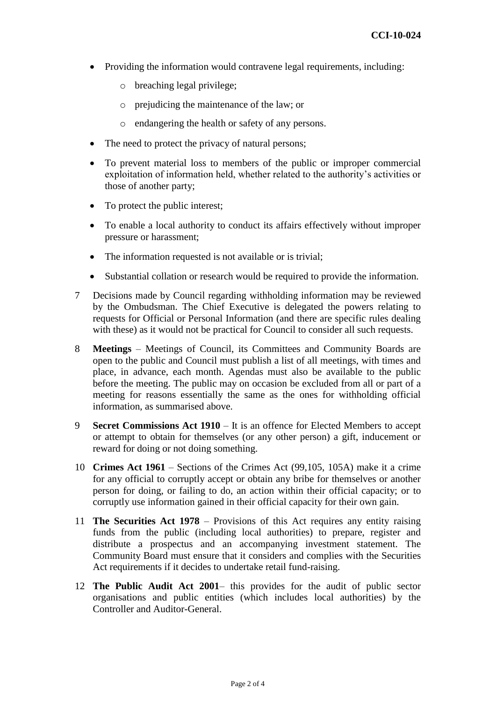- Providing the information would contravene legal requirements, including:
	- o breaching legal privilege;
	- o prejudicing the maintenance of the law; or
	- o endangering the health or safety of any persons.
- The need to protect the privacy of natural persons;
- To prevent material loss to members of the public or improper commercial exploitation of information held, whether related to the authority's activities or those of another party;
- To protect the public interest;
- To enable a local authority to conduct its affairs effectively without improper pressure or harassment;
- The information requested is not available or is trivial;
- Substantial collation or research would be required to provide the information.
- 7 Decisions made by Council regarding withholding information may be reviewed by the Ombudsman. The Chief Executive is delegated the powers relating to requests for Official or Personal Information (and there are specific rules dealing with these) as it would not be practical for Council to consider all such requests.
- 8 **Meetings** Meetings of Council, its Committees and Community Boards are open to the public and Council must publish a list of all meetings, with times and place, in advance, each month. Agendas must also be available to the public before the meeting. The public may on occasion be excluded from all or part of a meeting for reasons essentially the same as the ones for withholding official information, as summarised above.
- 9 **Secret Commissions Act 1910** It is an offence for Elected Members to accept or attempt to obtain for themselves (or any other person) a gift, inducement or reward for doing or not doing something.
- 10 **Crimes Act 1961** Sections of the Crimes Act (99,105, 105A) make it a crime for any official to corruptly accept or obtain any bribe for themselves or another person for doing, or failing to do, an action within their official capacity; or to corruptly use information gained in their official capacity for their own gain.
- 11 **The Securities Act 1978** Provisions of this Act requires any entity raising funds from the public (including local authorities) to prepare, register and distribute a prospectus and an accompanying investment statement. The Community Board must ensure that it considers and complies with the Securities Act requirements if it decides to undertake retail fund-raising.
- 12 **The Public Audit Act 2001** this provides for the audit of public sector organisations and public entities (which includes local authorities) by the Controller and Auditor-General.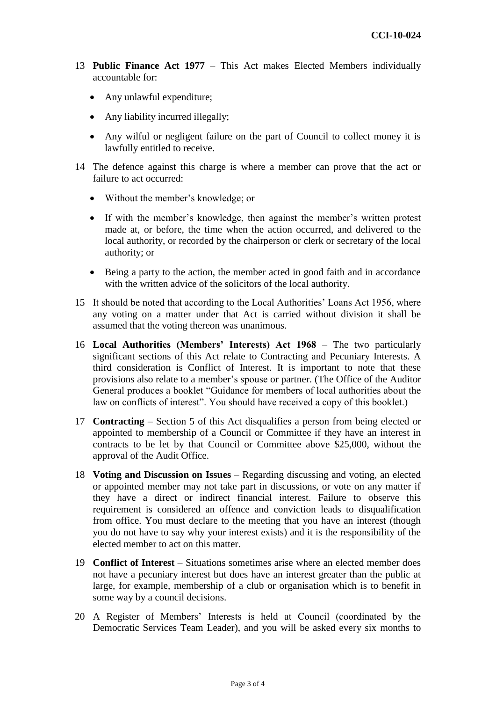- 13 **Public Finance Act 1977** This Act makes Elected Members individually accountable for:
	- Any unlawful expenditure;
	- Any liability incurred illegally;
	- Any wilful or negligent failure on the part of Council to collect money it is lawfully entitled to receive.
- 14 The defence against this charge is where a member can prove that the act or failure to act occurred:
	- Without the member's knowledge; or
	- If with the member's knowledge, then against the member's written protest made at, or before, the time when the action occurred, and delivered to the local authority, or recorded by the chairperson or clerk or secretary of the local authority; or
	- Being a party to the action, the member acted in good faith and in accordance with the written advice of the solicitors of the local authority.
- 15 It should be noted that according to the Local Authorities' Loans Act 1956, where any voting on a matter under that Act is carried without division it shall be assumed that the voting thereon was unanimous.
- 16 **Local Authorities (Members' Interests) Act 1968** The two particularly significant sections of this Act relate to Contracting and Pecuniary Interests. A third consideration is Conflict of Interest. It is important to note that these provisions also relate to a member's spouse or partner. (The Office of the Auditor General produces a booklet "Guidance for members of local authorities about the law on conflicts of interest". You should have received a copy of this booklet.)
- 17 **Contracting**  Section 5 of this Act disqualifies a person from being elected or appointed to membership of a Council or Committee if they have an interest in contracts to be let by that Council or Committee above \$25,000, without the approval of the Audit Office.
- 18 **Voting and Discussion on Issues** Regarding discussing and voting, an elected or appointed member may not take part in discussions, or vote on any matter if they have a direct or indirect financial interest. Failure to observe this requirement is considered an offence and conviction leads to disqualification from office. You must declare to the meeting that you have an interest (though you do not have to say why your interest exists) and it is the responsibility of the elected member to act on this matter.
- 19 **Conflict of Interest** Situations sometimes arise where an elected member does not have a pecuniary interest but does have an interest greater than the public at large, for example, membership of a club or organisation which is to benefit in some way by a council decisions.
- 20 A Register of Members' Interests is held at Council (coordinated by the Democratic Services Team Leader), and you will be asked every six months to